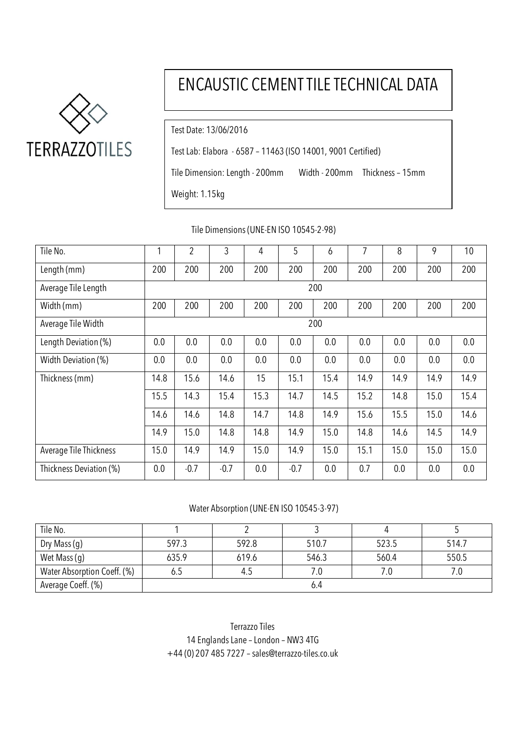

# ENCAUSTIC CEMENT TILE TECHNICAL DATA

Test Date: 13/06/2016

Test Lab: Elabora - 6587 – 11463 (ISO 14001, 9001 Certified)

Tile Dimension: Length - 200mm Width - 200mm Thickness – 15mm

Weight: 1.15kg

| Tile No.                | 1    | $\overline{2}$ | 3      | 4    | 5      | 6    | 7    | 8    | 9    | 10   |
|-------------------------|------|----------------|--------|------|--------|------|------|------|------|------|
| Length (mm)             | 200  | 200            | 200    | 200  | 200    | 200  | 200  | 200  | 200  | 200  |
| Average Tile Length     |      | 200            |        |      |        |      |      |      |      |      |
| Width (mm)              | 200  | 200            | 200    | 200  | 200    | 200  | 200  | 200  | 200  | 200  |
| Average Tile Width      |      | 200            |        |      |        |      |      |      |      |      |
| Length Deviation (%)    | 0.0  | 0.0            | 0.0    | 0.0  | 0.0    | 0.0  | 0.0  | 0.0  | 0.0  | 0.0  |
| Width Deviation (%)     | 0.0  | 0.0            | 0.0    | 0.0  | 0.0    | 0.0  | 0.0  | 0.0  | 0.0  | 0.0  |
| Thickness (mm)          | 14.8 | 15.6           | 14.6   | 15   | 15.1   | 15.4 | 14.9 | 14.9 | 14.9 | 14.9 |
|                         | 15.5 | 14.3           | 15.4   | 15.3 | 14.7   | 14.5 | 15.2 | 14.8 | 15.0 | 15.4 |
|                         | 14.6 | 14.6           | 14.8   | 14.7 | 14.8   | 14.9 | 15.6 | 15.5 | 15.0 | 14.6 |
|                         | 14.9 | 15.0           | 14.8   | 14.8 | 14.9   | 15.0 | 14.8 | 14.6 | 14.5 | 14.9 |
| Average Tile Thickness  | 15.0 | 14.9           | 14.9   | 15.0 | 14.9   | 15.0 | 15.1 | 15.0 | 15.0 | 15.0 |
| Thickness Deviation (%) | 0.0  | $-0.7$         | $-0.7$ | 0.0  | $-0.7$ | 0.0  | 0.7  | 0.0  | 0.0  | 0.0  |

Tile Dimensions (UNE-EN ISO 10545-2-98)

## Water Absorption (UNE-EN ISO 10545-3-97)

| Tile No.                    |       |       |       |       |       |  |  |
|-----------------------------|-------|-------|-------|-------|-------|--|--|
| Dry Mass (g)                | 597.3 | 592.8 | 510.7 | 523.5 | 514.7 |  |  |
| Wet Mass (g)                | 635.9 | 619.6 | 546.3 | 560.4 | 550.5 |  |  |
| Water Absorption Coeff. (%) | 0.J   | 4.5   | 7.0   |       |       |  |  |
| Average Coeff. (%)          | 6.4   |       |       |       |       |  |  |

Terrazzo Tiles 14 Englands Lane – London – NW3 4TG +44 (0) 207 485 7227 – [sales@terrazzo-tiles.co.uk](mailto:sales@terrazzo-tiles.co.uk)